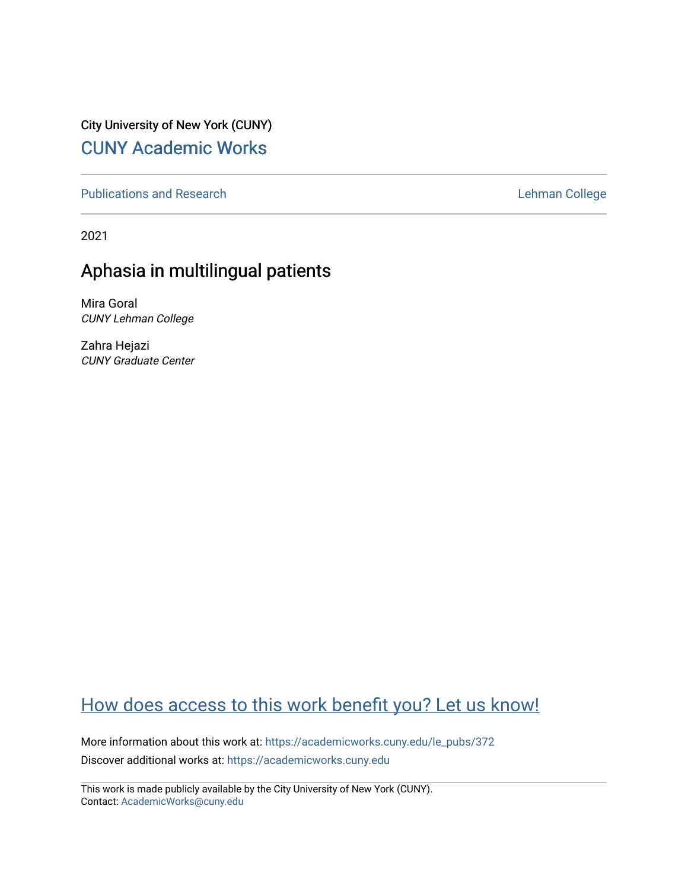City University of New York (CUNY) [CUNY Academic Works](https://academicworks.cuny.edu/) 

[Publications and Research](https://academicworks.cuny.edu/le_pubs) **Lehman College** 

2021

# Aphasia in multilingual patients

Mira Goral CUNY Lehman College

Zahra Hejazi CUNY Graduate Center

# [How does access to this work benefit you? Let us know!](http://ols.cuny.edu/academicworks/?ref=https://academicworks.cuny.edu/le_pubs/372)

More information about this work at: [https://academicworks.cuny.edu/le\\_pubs/372](https://academicworks.cuny.edu/le_pubs/372) Discover additional works at: [https://academicworks.cuny.edu](https://academicworks.cuny.edu/?)

This work is made publicly available by the City University of New York (CUNY). Contact: [AcademicWorks@cuny.edu](mailto:AcademicWorks@cuny.edu)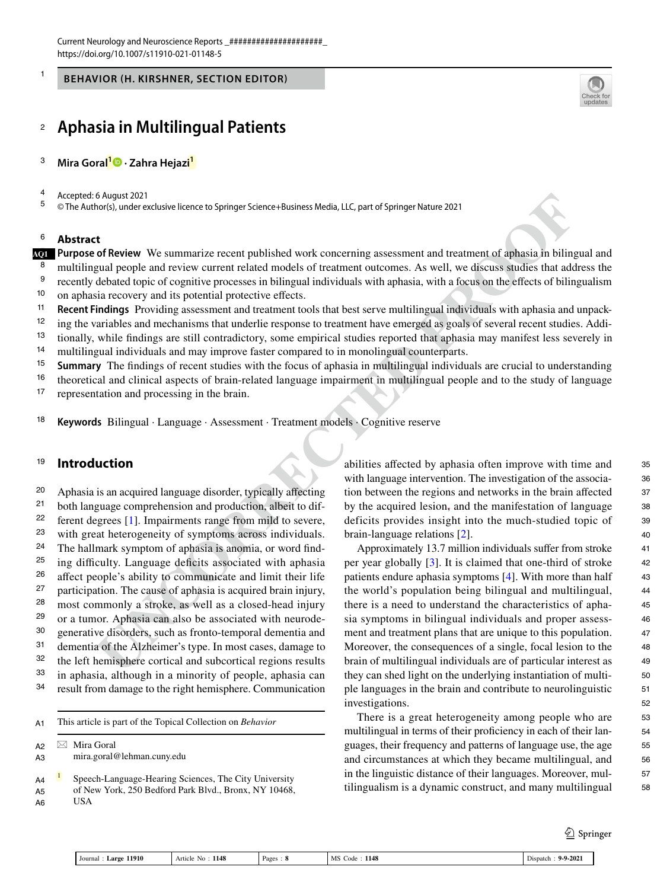**BEHAVIOR (H. KIRSHNER, SECTION EDITOR)** 

#### **Aphasia in Multilingual Patients** 2

- **Mira Goral<sup>1</sup>  [·](http://orcid.org/0000-0003-4061-5280) Zahra Hejazi1** 3
- Accepted: 6 August 2021 4

© The Author(s), under exclusive licence to Springer Science+Business Media, LLC, part of Springer Nature 2021 5

#### **Abstract** 6

1



**Purpose of Review** We summarize recent published work concerning assessment and treatment of aphasia in bilingual and **AQ1** 7 multilingual people and review current related models of treatment outcomes. As well, we discuss studies that address the recently debated topic of cognitive processes in bilingual individuals with aphasia, with a focus on the effects of bilingualism on aphasia recovery and its potential protective effects. **Recent Findings** Providing assessment and treatment tools that best serve multilingual individuals with aphasia and unpack-8 9 10 11

12

ing the variables and mechanisms that underlie response to treatment have emerged as goals of several recent studies. Additionally, while findings are still contradictory, some empirical studies reported that aphasia may manifest less severely in 13 14

multilingual individuals and may improve faster compared to in monolingual counterparts.

- **Summary** The findings of recent studies with the focus of aphasia in multilingual individuals are crucial to understanding 15
- theoretical and clinical aspects of brain-related language impairment in multilingual people and to the study of language 16
- representation and processing in the brain. 17

**Keywords** Bilingual · Language · Assessment · Treatment models · Cognitive reserve 18

#### **Introduction** 19

**OR Anyine 2021**<br> **OR Anyine 2021**<br> **OR Anyine 2021**<br> **OR Anyine 2021**<br> **OR Anyine 2021**<br> **Consequentially also are published work concerning assessment and treatment of orbasia in bilingual<br>
<b>Theoretical Consequential** Aphasia is an acquired language disorder, typically affecting both language comprehension and production, albeit to different degrees [1]. Impairments range from mild to severe, with great heterogeneity of symptoms across individuals. The hallmark symptom of aphasia is anomia, or word finding difficulty. Language deficits associated with aphasia affect people's ability to communicate and limit their life participation. The cause of aphasia is acquired brain injury, most commonly a stroke, as well as a closed-head injury or a tumor. Aphasia can also be associated with neurodegenerative disorders, such as fronto-temporal dementia and dementia of the Alzheimer's type. In most cases, damage to the left hemisphere cortical and subcortical regions results in aphasia, although in a minority of people, aphasia can result from damage to the right hemisphere. Communication 20 21 22 23 24 25 26 27 28 29 30 31 32 33 34

| A <sub>1</sub> | This article is part of the Topical Collection on <i>Behavior</i> |
|----------------|-------------------------------------------------------------------|
| A2<br>A3       | $\boxtimes$ Mira Goral<br>mira.goral@lehman.cuny.edu              |
|                |                                                                   |

Speech-Language-Hearing Sciences, The City University of New York, 250 Bedford Park Blvd., Bronx, NY 10468, USA A4 A5 A6

abilities affected by aphasia often improve with time and with language intervention. The investigation of the association between the regions and networks in the brain affected by the acquired lesion, and the manifestation of language deficits provides insight into the much-studied topic of brain-language relations [2].

Approximately 13.7 million individuals suffer from stroke per year globally [3]. It is claimed that one-third of stroke patients endure aphasia symptoms [4]. With more than half the world's population being bilingual and multilingual, there is a need to understand the characteristics of aphasia symptoms in bilingual individuals and proper assessment and treatment plans that are unique to this population. Moreover, the consequences of a single, focal lesion to the brain of multilingual individuals are of particular interest as they can shed light on the underlying instantiation of multiple languages in the brain and contribute to neurolinguistic investigations.

There is a great heterogeneity among people who are multilingual in terms of their proficiency in each of their languages, their frequency and patterns of language use, the age and circumstances at which they became multilingual, and in the linguistic distance of their languages. Moreover, multilingualism is a dynamic construct, and many multilingual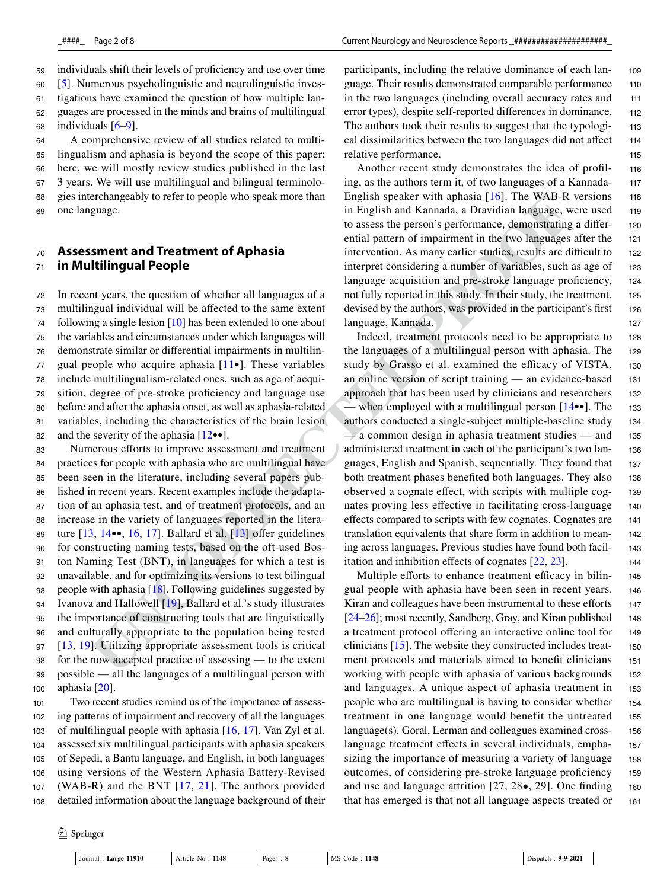individuals shift their levels of proficiency and use over time [5]. Numerous psycholinguistic and neurolinguistic investigations have examined the question of how multiple languages are processed in the minds and brains of multilingual individuals [6–9]. 59 60 61 62 63

A comprehensive review of all studies related to multilingualism and aphasia is beyond the scope of this paper; here, we will mostly review studies published in the last 3 years. We will use multilingual and bilingual terminologies interchangeably to refer to people who speak more than one language. 64 65 66 67 68 69

#### **Assessment and Treatment of Aphasia in Multilingual People** 70 71

In recent years, the question of whether all languages of a multilingual individual will be affected to the same extent following a single lesion  $[10]$  has been extended to one about the variables and circumstances under which languages will demonstrate similar or differential impairments in multilingual people who acquire aphasia  $[11\bullet]$ . These variables include multilingualism-related ones, such as age of acquisition, degree of pre-stroke proficiency and language use before and after the aphasia onset, as well as aphasia-related variables, including the characteristics of the brain lesion and the severity of the aphasia  $[12\bullet\bullet]$ . 72 73 74 75 76 77 78 79 80 81 82

**Extrained Solution** the speak and English speak rate than in English and Kanada, a Dravidian language,<br> **UNC**<br> **UNC**<br> **UNC**<br> **UNC**<br> **UNC**<br> **EXECTED PROOF**<br> **UNC**<br> **UNC**<br> **UNC**<br> **UNC**<br> **UNC**<br> **UNC**<br> Numerous efforts to improve assessment and treatment practices for people with aphasia who are multilingual have been seen in the literature, including several papers published in recent years. Recent examples include the adaptation of an aphasia test, and of treatment protocols, and an increase in the variety of languages reported in the literature [13, 14••, 16, 17]. Ballard et al. [13] offer guidelines for constructing naming tests, based on the oft-used Boston Naming Test (BNT), in languages for which a test is unavailable, and for optimizing its versions to test bilingual people with aphasia [18]. Following guidelines suggested by Ivanova and Hallowell [19], Ballard et al.'s study illustrates the importance of constructing tools that are linguistically and culturally appropriate to the population being tested [13, 19]. Utilizing appropriate assessment tools is critical for the now accepted practice of assessing — to the extent possible — all the languages of a multilingual person with aphasia [20]. 83 84 85 86 87 88 89 90 91 92 93 94 95 96 97 98 99 100

Two recent studies remind us of the importance of assessing patterns of impairment and recovery of all the languages of multilingual people with aphasia [16, 17]. Van Zyl et al. assessed six multilingual participants with aphasia speakers of Sepedi, a Bantu language, and English, in both languages using versions of the Western Aphasia Battery-Revised (WAB-R) and the BNT  $[17, 21]$ . The authors provided detailed information about the language background of their 101 102 103 104 105 106 107 108

<sup>2</sup> Springer

participants, including the relative dominance of each language. Their results demonstrated comparable performance in the two languages (including overall accuracy rates and error types), despite self-reported differences in dominance. The authors took their results to suggest that the typological dissimilarities between the two languages did not affect relative performance. 109 110 111 112 113 114 115

Another recent study demonstrates the idea of profiling, as the authors term it, of two languages of a Kannada-English speaker with aphasia [16]. The WAB-R versions in English and Kannada, a Dravidian language, were used to assess the person's performance, demonstrating a differential pattern of impairment in the two languages after the intervention. As many earlier studies, results are difficult to interpret considering a number of variables, such as age of language acquisition and pre-stroke language proficiency, not fully reported in this study. In their study, the treatment, devised by the authors, was provided in the participant's first language, Kannada. 116 117 118 119 120 121 122 123 124 125 126 127

Indeed, treatment protocols need to be appropriate to the languages of a multilingual person with aphasia. The study by Grasso et al. examined the efficacy of VISTA, an online version of script training — an evidence-based approach that has been used by clinicians and researchers — when employed with a multilingual person  $[14\bullet\bullet]$ . The authors conducted a single-subject multiple-baseline study  $\rightarrow$  a common design in aphasia treatment studies  $\rightarrow$  and administered treatment in each of the participant's two languages, English and Spanish, sequentially. They found that both treatment phases benefited both languages. They also observed a cognate effect, with scripts with multiple cognates proving less effective in facilitating cross-language effects compared to scripts with few cognates. Cognates are translation equivalents that share form in addition to meaning across languages. Previous studies have found both facilitation and inhibition effects of cognates [22, 23]. 128 129 130 131 132 133 134 135 136 137 138 139 140 141 142 143 144

Multiple efforts to enhance treatment efficacy in bilingual people with aphasia have been seen in recent years. Kiran and colleagues have been instrumental to these efforts [24–26]; most recently, Sandberg, Gray, and Kiran published a treatment protocol offering an interactive online tool for clinicians [15]. The website they constructed includes treatment protocols and materials aimed to benefit clinicians working with people with aphasia of various backgrounds and languages. A unique aspect of aphasia treatment in people who are multilingual is having to consider whether treatment in one language would benefit the untreated language(s). Goral, Lerman and colleagues examined crosslanguage treatment effects in several individuals, emphasizing the importance of measuring a variety of language outcomes, of considering pre-stroke language proficiency and use and language attrition [27, 28•, 29]. One finding that has emerged is that not all language aspects treated or 145 146 147 148 149 150 151 152 153 154 155 156 157 158 159 160 161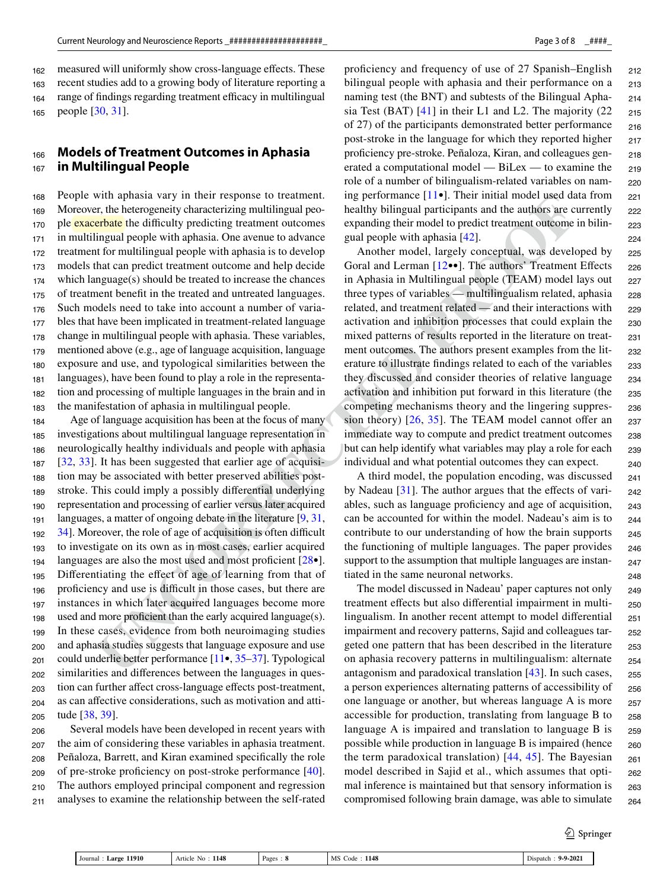measured will uniformly show cross-language effects. These recent studies add to a growing body of literature reporting a range of findings regarding treatment efficacy in multilingual people [30, 31]. 162 163 164 165

#### **Models of Treatment Outcomes in Aphasia in Multilingual People** 166 167

People with aphasia vary in their response to treatment. Moreover, the heterogeneity characterizing multilingual people **exacerbate** the difficulty predicting treatment outcomes in multilingual people with aphasia. One avenue to advance treatment for multilingual people with aphasia is to develop models that can predict treatment outcome and help decide which language(s) should be treated to increase the chances of treatment benefit in the treated and untreated languages. Such models need to take into account a number of variables that have been implicated in treatment-related language change in multilingual people with aphasia. These variables, mentioned above (e.g., age of language acquisition, language exposure and use, and typological similarities between the languages), have been found to play a role in the representation and processing of multiple languages in the brain and in the manifestation of aphasia in multilingual people. 168 169 170 171 172 173 174 175 176 177 178 179 180 181 182 183

with a<br>phasis vary m their response to tractment. Im geriformina (114). Their muid model is<br>each definite properties the diffused and the same for the better properties in and the same for the diffused by the diffused by t Age of language acquisition has been at the focus of many investigations about multilingual language representation in neurologically healthy individuals and people with aphasia [32, 33]. It has been suggested that earlier age of acquisition may be associated with better preserved abilities poststroke. This could imply a possibly differential underlying representation and processing of earlier versus later acquired languages, a matter of ongoing debate in the literature [9, 31, 34]. Moreover, the role of age of acquisition is often difficult to investigate on its own as in most cases, earlier acquired languages are also the most used and most proficient [28•]. Differentiating the effect of age of learning from that of proficiency and use is difficult in those cases, but there are instances in which later acquired languages become more used and more proficient than the early acquired language(s). In these cases, evidence from both neuroimaging studies and aphasia studies suggests that language exposure and use could underlie better performance [11•, 35–37]. Typological similarities and differences between the languages in question can further affect cross-language effects post-treatment, as can affective considerations, such as motivation and attitude [38, 39]. 184 185 186 187 188 189 190 191 192 193 194 195 196 197 198 199 200 201 202 203 204 205

Several models have been developed in recent years with the aim of considering these variables in aphasia treatment. Peñaloza, Barrett, and Kiran examined specifically the role of pre-stroke proficiency on post-stroke performance [40]. The authors employed principal component and regression analyses to examine the relationship between the self-rated 206 207 208 209 210 211

proficiency and frequency of use of 27 Spanish–English bilingual people with aphasia and their performance on a naming test (the BNT) and subtests of the Bilingual Aphasia Test (BAT) [41] in their L1 and L2. The majority (22 of 27) of the participants demonstrated better performance post-stroke in the language for which they reported higher proficiency pre-stroke. Peñaloza, Kiran, and colleagues generated a computational model — BiLex — to examine the role of a number of bilingualism-related variables on naming performance [11•]. Their initial model used data from healthy bilingual participants and the authors are currently expanding their model to predict treatment outcome in bilingual people with aphasia [42]. 212 213 214 215 216 217 218 219 220 221 222 223 224

Another model, largely conceptual, was developed by Goral and Lerman [12••]. The authors' Treatment Effects in Aphasia in Multilingual people (TEAM) model lays out three types of variables — multilingualism related, aphasia related, and treatment related — and their interactions with activation and inhibition processes that could explain the mixed patterns of results reported in the literature on treatment outcomes. The authors present examples from the literature to illustrate findings related to each of the variables they discussed and consider theories of relative language activation and inhibition put forward in this literature (the competing mechanisms theory and the lingering suppression theory) [26, 35]. The TEAM model cannot offer an immediate way to compute and predict treatment outcomes but can help identify what variables may play a role for each individual and what potential outcomes they can expect. 225 226 227 228 229 230 231 232 233 234 235 236 237 238 239 240

A third model, the population encoding, was discussed by Nadeau [31]. The author argues that the effects of variables, such as language proficiency and age of acquisition, can be accounted for within the model. Nadeau's aim is to contribute to our understanding of how the brain supports the functioning of multiple languages. The paper provides support to the assumption that multiple languages are instantiated in the same neuronal networks. 241 242 243 244 245 246 247 248

The model discussed in Nadeau' paper captures not only treatment effects but also differential impairment in multilingualism. In another recent attempt to model differential impairment and recovery patterns, Sajid and colleagues targeted one pattern that has been described in the literature on aphasia recovery patterns in multilingualism: alternate antagonism and paradoxical translation [43]. In such cases, a person experiences alternating patterns of accessibility of one language or another, but whereas language A is more accessible for production, translating from language B to language A is impaired and translation to language B is possible while production in language B is impaired (hence the term paradoxical translation) [44, 45]. The Bayesian model described in Sajid et al., which assumes that optimal inference is maintained but that sensory information is compromised following brain damage, was able to simulate 249 250 251 252 253 254 255 256 257 258 259 260 261 262 263 264

 $\mathcal{D}$  Springer

| 11910<br>Journal<br>Large | 1148<br>Article<br>NΩ | Pages | 1148<br>MS<br>Code | $9 - 9 - 202$<br>Dispatch |
|---------------------------|-----------------------|-------|--------------------|---------------------------|
|---------------------------|-----------------------|-------|--------------------|---------------------------|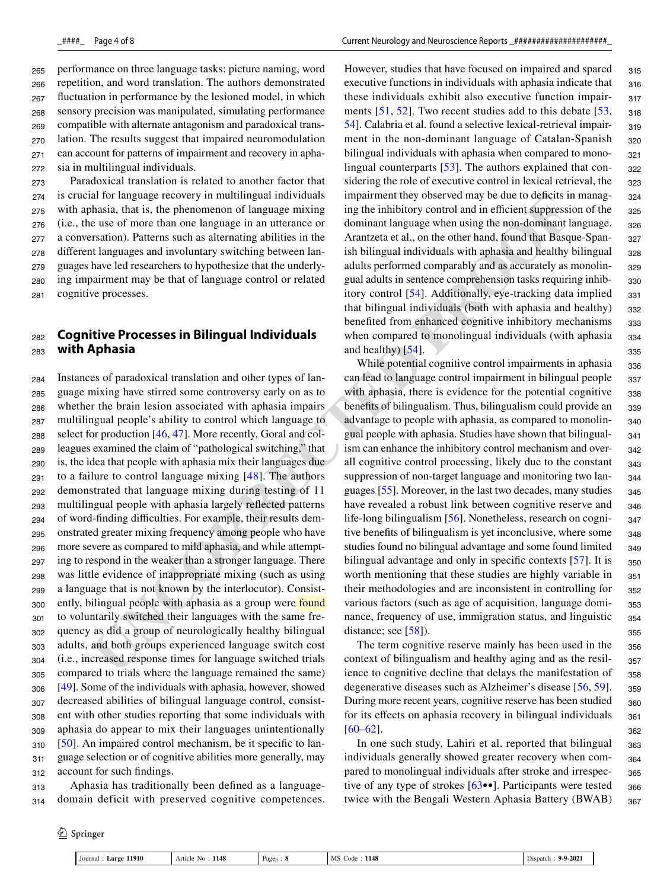performance on three language tasks: picture naming, word repetition, and word translation. The authors demonstrated fluctuation in performance by the lesioned model, in which sensory precision was manipulated, simulating performance compatible with alternate antagonism and paradoxical translation. The results suggest that impaired neuromodulation can account for patterns of impairment and recovery in aphasia in multilingual individuals. 265 266 267 268 269 270 271 272

Paradoxical translation is related to another factor that is crucial for language recovery in multilingual individuals with aphasia, that is, the phenomenon of language mixing (i.e., the use of more than one language in an utterance or a conversation). Patterns such as alternating abilities in the different languages and involuntary switching between languages have led researchers to hypothesize that the underlying impairment may be that of language control or related cognitive processes. 273 274 275 276 277 278 279 280 281

#### **Cognitive Processes in Bilingual Individuals with Aphasia** 282 283

**EXT (The limit in the distantial individuals<br>
<b>UNCO CONFIDENTS** in the momentum of the singure main in the momentum control than the singular properties are set of more than one component of component and the particular s Instances of paradoxical translation and other types of language mixing have stirred some controversy early on as to whether the brain lesion associated with aphasia impairs multilingual people's ability to control which language to select for production [46, 47]. More recently, Goral and colleagues examined the claim of "pathological switching," that is, the idea that people with aphasia mix their languages due to a failure to control language mixing [48]. The authors demonstrated that language mixing during testing of 11 multilingual people with aphasia largely reflected patterns of word-finding difficulties. For example, their results demonstrated greater mixing frequency among people who have more severe as compared to mild aphasia, and while attempting to respond in the weaker than a stronger language. There was little evidence of inappropriate mixing (such as using a language that is not known by the interlocutor). Consistently, bilingual people with aphasia as a group were **found** to voluntarily switched their languages with the same frequency as did a group of neurologically healthy bilingual adults, and both groups experienced language switch cost (i.e., increased response times for language switched trials compared to trials where the language remained the same) [49]. Some of the individuals with aphasia, however, showed decreased abilities of bilingual language control, consistent with other studies reporting that some individuals with aphasia do appear to mix their languages unintentionally [50]. An impaired control mechanism, be it specific to language selection or of cognitive abilities more generally, may account for such findings. 284 285 286 287 288 289 290 291 292 293 294 295 296 297 298 299 300 301 302 303 304 305 306 307 308 309 310 311 312

Aphasia has traditionally been defined as a languagedomain deficit with preserved cognitive competences. 313 314

<sup>2</sup> Springer

However, studies that have focused on impaired and spared executive functions in individuals with aphasia indicate that these individuals exhibit also executive function impairments [51, 52]. Two recent studies add to this debate [53, 54]. Calabria et al. found a selective lexical-retrieval impairment in the non-dominant language of Catalan-Spanish bilingual individuals with aphasia when compared to monolingual counterparts [53]. The authors explained that considering the role of executive control in lexical retrieval, the impairment they observed may be due to deficits in managing the inhibitory control and in efficient suppression of the dominant language when using the non-dominant language. Arantzeta et al., on the other hand, found that Basque-Spanish bilingual individuals with aphasia and healthy bilingual adults performed comparably and as accurately as monolingual adults in sentence comprehension tasks requiring inhibitory control [54]. Additionally, eye-tracking data implied that bilingual individuals (both with aphasia and healthy) benefited from enhanced cognitive inhibitory mechanisms when compared to monolingual individuals (with aphasia and healthy) [54]. 315 316 317 318 319 320 321 322 323 324 325 326 327 328 329 330 331 332 333 334 335

While potential cognitive control impairments in aphasia can lead to language control impairment in bilingual people with aphasia, there is evidence for the potential cognitive benefits of bilingualism. Thus, bilingualism could provide an advantage to people with aphasia, as compared to monolingual people with aphasia. Studies have shown that bilingualism can enhance the inhibitory control mechanism and overall cognitive control processing, likely due to the constant suppression of non-target language and monitoring two languages [55]. Moreover, in the last two decades, many studies have revealed a robust link between cognitive reserve and life-long bilingualism [56]. Nonetheless, research on cognitive benefits of bilingualism is yet inconclusive, where some studies found no bilingual advantage and some found limited bilingual advantage and only in specific contexts [57]. It is worth mentioning that these studies are highly variable in their methodologies and are inconsistent in controlling for various factors (such as age of acquisition, language dominance, frequency of use, immigration status, and linguistic distance; see [58]). 336 337 338 339 340 341 342 343 344 345 346 347 348 349 350 351 352 353 354 355

The term cognitive reserve mainly has been used in the context of bilingualism and healthy aging and as the resilience to cognitive decline that delays the manifestation of degenerative diseases such as Alzheimer's disease [56, 59]. During more recent years, cognitive reserve has been studied for its effects on aphasia recovery in bilingual individuals  $[60-62]$ .

In one such study, Lahiri et al. reported that bilingual individuals generally showed greater recovery when compared to monolingual individuals after stroke and irrespective of any type of strokes [63••]. Participants were tested twice with the Bengali Western Aphasia Battery (BWAB) 363 364 365 366 367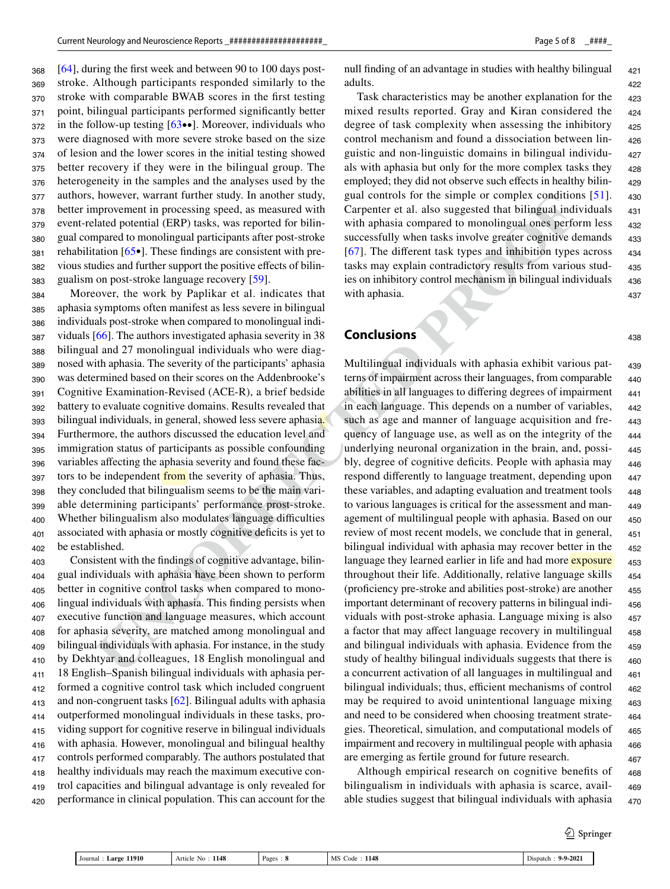[64], during the first week and between 90 to 100 days poststroke. Although participants responded similarly to the stroke with comparable BWAB scores in the first testing point, bilingual participants performed significantly better in the follow-up testing  $[63\bullet\bullet]$ . Moreover, individuals who were diagnosed with more severe stroke based on the size of lesion and the lower scores in the initial testing showed better recovery if they were in the bilingual group. The heterogeneity in the samples and the analyses used by the authors, however, warrant further study. In another study, better improvement in processing speed, as measured with event-related potential (ERP) tasks, was reported for bilingual compared to monolingual participants after post-stroke rehabilitation [65•]. These findings are consistent with previous studies and further support the positive effects of bilingualism on post-stroke language recovery [59]. 368 369 370 371 372 373 374 375 376 377 378 379 380 381 382 383

Moreover, the work by Paplikar et al. indicates that aphasia symptoms often manifest as less severe in bilingual individuals post-stroke when compared to monolingual individuals [66]. The authors investigated aphasia severity in 38 bilingual and 27 monolingual individuals who were diagnosed with aphasia. The severity of the participants' aphasia was determined based on their scores on the Addenbrooke's Cognitive Examination-Revised (ACE-R), a brief bedside battery to evaluate cognitive domains. Results revealed that bilingual individuals, in general, showed less severe aphasia. Furthermore, the authors discussed the education level and immigration status of participants as possible confounding variables affecting the aphasia severity and found these factors to be independent from the severity of aphasia. Thus, they concluded that bilingualism seems to be the main variable determining participants' performance prost-stroke. Whether bilingualism also modulates language difficulties associated with aphasia or mostly cognitive deficits is yet to be established. 384 385 386 387 388 389 390 391 392 393 394 395 396 397 398 399 400 401 402

Consistent with the findings of cognitive advantage, bilingual individuals with aphasia have been shown to perform better in cognitive control tasks when compared to monolingual individuals with aphasia. This finding persists when executive function and language measures, which account for aphasia severity, are matched among monolingual and bilingual individuals with aphasia. For instance, in the study by Dekhtyar and colleagues, 18 English monolingual and 18 English–Spanish bilingual individuals with aphasia performed a cognitive control task which included congruent and non-congruent tasks [62]. Bilingual adults with aphasia outperformed monolingual individuals in these tasks, providing support for cognitive reserve in bilingual individuals with aphasia. However, monolingual and bilingual healthy controls performed comparably. The authors postulated that healthy individuals may reach the maximum executive control capacities and bilingual advantage is only revealed for performance in clinical population. This can account for the 403 404 405 406 407 408 409 410 411 412 413 414 415 416 417 418 419  $420$ 

Page 5 of 8 \_####\_

null finding of an advantage in studies with healthy bilingual adults.

Task characteristics may be another explanation for the mixed results reported. Gray and Kiran considered the degree of task complexity when assessing the inhibitory control mechanism and found a dissociation between linguistic and non-linguistic domains in bilingual individuals with aphasia but only for the more complex tasks they employed; they did not observe such effects in healthy bilingual controls for the simple or complex conditions [51]. Carpenter et al. also suggested that bilingual individuals with aphasia compared to monolingual ones perform less successfully when tasks involve greater cognitive demands [67]. The different task types and inhibition types across tasks may explain contradictory results from various studies on inhibitory control mechanism in bilingual individuals with aphasia. 425 426 427 428 429 430 431 432 433 434 435 436 437

**Conclusions**

however, warrant lurtime study, In another study, guad controls lore the simple or complex conditions<br>that the simple of the simple of the simple of the simple of the simple of the simple of the simple of the simple of the Multilingual individuals with aphasia exhibit various patterns of impairment across their languages, from comparable abilities in all languages to differing degrees of impairment in each language. This depends on a number of variables, such as age and manner of language acquisition and frequency of language use, as well as on the integrity of the underlying neuronal organization in the brain, and, possibly, degree of cognitive deficits. People with aphasia may respond differently to language treatment, depending upon these variables, and adapting evaluation and treatment tools to various languages is critical for the assessment and management of multilingual people with aphasia. Based on our review of most recent models, we conclude that in general, bilingual individual with aphasia may recover better in the language they learned earlier in life and had more exposure throughout their life. Additionally, relative language skills (proficiency pre-stroke and abilities post-stroke) are another important determinant of recovery patterns in bilingual individuals with post-stroke aphasia. Language mixing is also a factor that may affect language recovery in multilingual and bilingual individuals with aphasia. Evidence from the study of healthy bilingual individuals suggests that there is a concurrent activation of all languages in multilingual and bilingual individuals; thus, efficient mechanisms of control may be required to avoid unintentional language mixing and need to be considered when choosing treatment strategies. Theoretical, simulation, and computational models of impairment and recovery in multilingual people with aphasia are emerging as fertile ground for future research. 439 440 441 442 443 444 445 446 447 448 449 450 451 452 453 454 455 456 457 458 459 460 461 462 463 464 465 466 467

Although empirical research on cognitive benefits of bilingualism in individuals with aphasia is scarce, available studies suggest that bilingual individuals with aphasia 468 469 470

 $\hat{2}$  Springer

| <b>Large 11910</b><br>Journal: | 1148<br>Article No : | Pages | MS Code: 1148 | $9-9-2021$<br>Dispatch: |
|--------------------------------|----------------------|-------|---------------|-------------------------|

438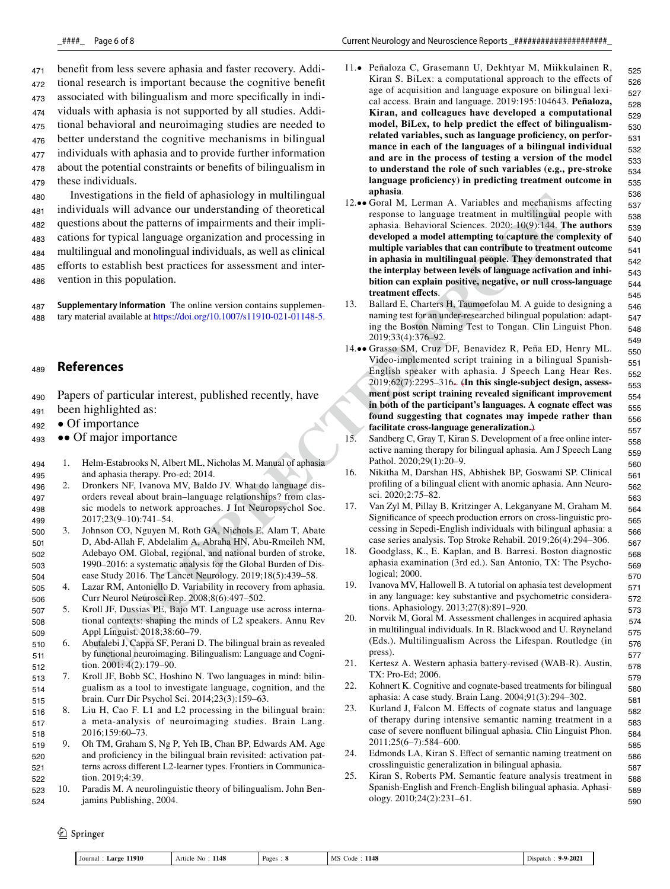benefit from less severe aphasia and faster recovery. Additional research is important because the cognitive benefit associated with bilingualism and more specifically in individuals with aphasia is not supported by all studies. Additional behavioral and neuroimaging studies are needed to better understand the cognitive mechanisms in bilingual individuals with aphasia and to provide further information about the potential constraints or benefits of bilingualism in these individuals. 471 472 473 474 475 476 477 478 479

Investigations in the field of aphasiology in multilingual individuals will advance our understanding of theoretical questions about the patterns of impairments and their implications for typical language organization and processing in multilingual and monolingual individuals, as well as clinical efforts to establish best practices for assessment and intervention in this population. 480 481 482 483 484 485 486

**Supplementary Information** The online version contains supplementary material available at https://doi.org/10.1007/s11910-021-01148-5. 487 488

#### **References** 489

- Papers of particular interest, published recently, have 490
- been highlighted as: 491
- Of importance 492
- •• Of major importance 493
- 1. Helm-Estabrooks N, Albert ML, Nicholas M. Manual of aphasia and aphasia therapy. Pro-ed; 2014. 494 495
- 2. Dronkers NF, Ivanova MV, Baldo JV. What do language disorders reveal about brain–language relationships? from classic models to network approaches. J Int Neuropsychol Soc. 2017;23(9–10):741–54. 496 497 498 499
- 3. Johnson CO, Nguyen M, Roth GA, Nichols E, Alam T, Abate D, Abd-Allah F, Abdelalim A, Abraha HN, Abu-Rmeileh NM, Adebayo OM. Global, regional, and national burden of stroke, 1990–2016: a systematic analysis for the Global Burden of Disease Study 2016. The Lancet Neurology. 2019;18(5):439–58. 500 501 502 503 504
- 4. Lazar RM, Antoniello D. Variability in recovery from aphasia. Curr Neurol Neurosci Rep. 2008;8(6):497–502. 505 506
- 5. Kroll JF, Dussias PE, Bajo MT. Language use across international contexts: shaping the minds of L2 speakers. Annu Rev Appl Linguist. 2018;38:60–79. 507 508 509
- 6. Abutalebi J, Cappa SF, Perani D. The bilingual brain as revealed by functional neuroimaging. Bilingualism: Language and Cognition. 2001: 4(2):179–90. 510 511 512
- 7. Kroll JF, Bobb SC, Hoshino N. Two languages in mind: bilingualism as a tool to investigate language, cognition, and the brain. Curr Dir Psychol Sci. 2014;23(3):159–63. 513 514 515
- 8. Liu H, Cao F. L1 and L2 processing in the bilingual brain: a meta-analysis of neuroimaging studies. Brain Lang. 2016;159:60–73. 516 517 518
- 9. Oh TM, Graham S, Ng P, Yeh IB, Chan BP, Edwards AM. Age and proficiency in the bilingual brain revisited: activation patterns across different L2-learner types. Frontiers in Communication. 2019;4:39. 519 520 521 522
- 10. Paradis M. A neurolinguistic theory of bilingualism. John Benjamins Publishing, 2004. 523 524
- 11.• Peñaloza C, Grasemann U, Dekhtyar M, Miikkulainen R, Kiran S. BiLex: a computational approach to the effects of age of acquisition and language exposure on bilingual lexical access. Brain and language. 2019:195:104643. **Peñaloza, Kiran, and colleagues have developed a computational model, BiLex, to help predict the effect of bilingualismrelated variables, such as language proficiency, on performance in each of the languages of a bilingual individual and are in the process of testing a version of the model to understand the role of such variables (e.g., pre-stroke language proficiency) in predicting treatment outcome in aphasia**. 525 526
- strained to the field of a philasonical product in mellinguist<br>
strained for the product of particle and the content of the content of the content of the product in and the content of the product of particles and the produ 12.•• Goral M, Lerman A. Variables and mechanisms affecting response to language treatment in multilingual people with aphasia. Behavioral Sciences. 2020: 10(9):144. **The authors developed a model attempting to capture the complexity of multiple variables that can contribute to treatment outcome in aphasia in multilingual people. They demonstrated that the interplay between levels of language activation and inhibition can explain positive, negative, or null cross-language treatment effects**.
	- 13. Ballard E, Charters H, Taumoefolau M. A guide to designing a naming test for an under-researched bilingual population: adapting the Boston Naming Test to Tongan. Clin Linguist Phon. 2019;33(4):376–92.
	- 14.•• Grasso SM, Cruz DF, Benavidez R, Peña ED, Henry ML. Video-implemented script training in a bilingual Spanish-English speaker with aphasia. J Speech Lang Hear Res. 2019;62(7):2295–316.. (**In this single-subject design, assessment post script training revealed significant improvement in both of the participant's languages. A cognate effect was found suggesting that cognates may impede rather than facilitate cross-language generalization.**)
	- 15. Sandberg C, Gray T, Kiran S. Development of a free online interactive naming therapy for bilingual aphasia. Am J Speech Lang Pathol. 2020;29(1):20–9.
	- 16. Nikitha M, Darshan HS, Abhishek BP, Goswami SP. Clinical profiling of a bilingual client with anomic aphasia. Ann Neurosci. 2020;2:75–82.
	- 17. Van Zyl M, Pillay B, Kritzinger A, Lekganyane M, Graham M. Significance of speech production errors on cross-linguistic processing in Sepedi-English individuals with bilingual aphasia: a case series analysis. Top Stroke Rehabil. 2019;26(4):294–306.
	- 18. Goodglass, K., E. Kaplan, and B. Barresi. Boston diagnostic aphasia examination (3rd ed.). San Antonio, TX: The Psychological; 2000.
	- 19. Ivanova MV, Hallowell B. A tutorial on aphasia test development in any language: key substantive and psychometric considerations. Aphasiology. 2013;27(8):891–920.
	- 20. Norvik M, Goral M. Assessment challenges in acquired aphasia in multilingual individuals. In R. Blackwood and U. Røyneland (Eds.). Multilingualism Across the Lifespan. Routledge (in press).
	- 21. Kertesz A. Western aphasia battery-revised (WAB-R). Austin, TX: Pro-Ed; 2006.
	- 22. Kohnert K. Cognitive and cognate-based treatments for bilingual aphasia: A case study. Brain Lang. 2004;91(3):294–302.
	- 23. Kurland J, Falcon M. Effects of cognate status and language of therapy during intensive semantic naming treatment in a case of severe nonfluent bilingual aphasia. Clin Linguist Phon. 2011;25(6–7):584–600.
	- 24. Edmonds LA, Kiran S. Effect of semantic naming treatment on crosslinguistic generalization in bilingual aphasia.
	- 25. Kiran S, Roberts PM. Semantic feature analysis treatment in Spanish-English and French-English bilingual aphasia. Aphasiology. 2010;24(2):231–61.

 $\circled{2}$  Springer

| 11910<br>Journal<br>. .arge | 1148<br>rncie -<br>NG | . Pager | 1148<br>MC<br>:ode<br>-NM | $-202$ <sup>1</sup><br><b>Q.Q.</b><br>hspatc<br>the contract of the contract of the contract of |  |
|-----------------------------|-----------------------|---------|---------------------------|-------------------------------------------------------------------------------------------------|--|
|                             |                       |         |                           |                                                                                                 |  |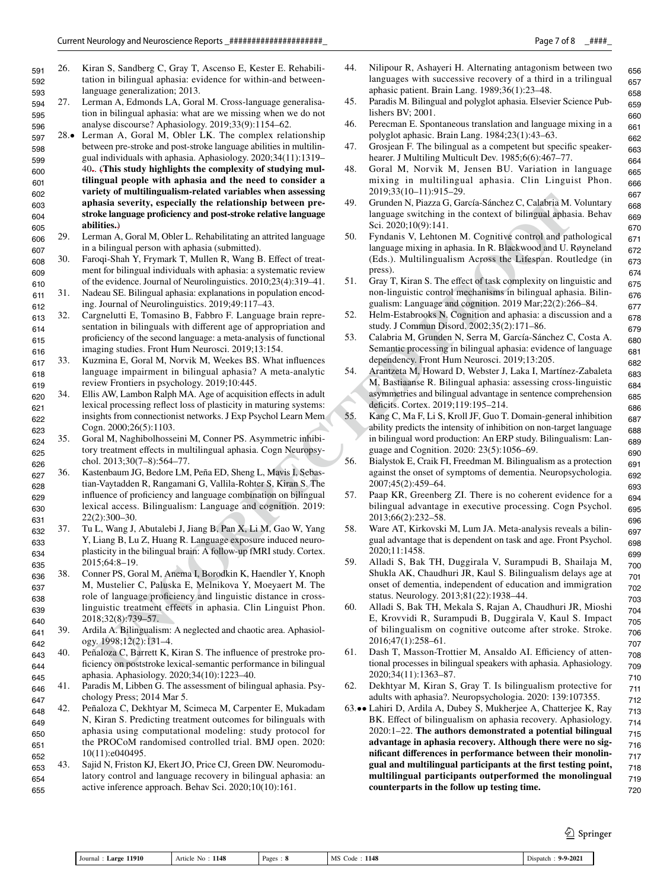- 26. Kiran S, Sandberg C, Gray T, Ascenso E, Kester E. Rehabilitation in bilingual aphasia: evidence for within-and betweenlanguage generalization; 2013. 591 592 593
- 27. Lerman A, Edmonds LA, Goral M. Cross-language generalisation in bilingual aphasia: what are we missing when we do not analyse discourse? Aphasiology. 2019;33(9):1154–62. 594 595 596
- 28.• Lerman A, Goral M, Obler LK. The complex relationship between pre-stroke and post-stroke language abilities in multilingual individuals with aphasia. Aphasiology. 2020;34(11):1319– 40.. (**This study highlights the complexity of studying multilingual people with aphasia and the need to consider a variety of multilingualism-related variables when assessing aphasia severity, especially the relationship between prestroke language proficiency and post-stroke relative language abilities.**) 597 598 599 600 601 602 603 604 605
- 29. Lerman A, Goral M, Obler L. Rehabilitating an attrited language in a bilingual person with aphasia (submitted). 606 607
- 30. Faroqi-Shah Y, Frymark T, Mullen R, Wang B. Effect of treatment for bilingual individuals with aphasia: a systematic review of the evidence. Journal of Neurolinguistics. 2010;23(4):319–41. 608 609 610
- 31. Nadeau SE. Bilingual aphasia: explanations in population encoding. Journal of Neurolinguistics. 2019;49:117–43. 611 612
- 32. Cargnelutti E, Tomasino B, Fabbro F. Language brain representation in bilinguals with different age of appropriation and proficiency of the second language: a meta-analysis of functional imaging studies. Front Hum Neurosci. 2019;13:154. 613 614 615 616
- 33. Kuzmina E, Goral M, Norvik M, Weekes BS. What influences language impairment in bilingual aphasia? A meta-analytic review Frontiers in psychology. 2019;10:445. 617 618 619
- 34. Ellis AW, Lambon Ralph MA. Age of acquisition effects in adult lexical processing reflect loss of plasticity in maturing systems: insights from connectionist networks. J Exp Psychol Learn Mem Cogn. 2000;26(5):1103. 620 621 622 623
- 35. Goral M, Naghibolhosseini M, Conner PS. Asymmetric inhibitory treatment effects in multilingual aphasia. Cogn Neuropsychol. 2013;30(7–8):564–77. 624 625 626
- **UNCORRECTED IN THE CONFIGURE IN THE CONFIGURE IN THE CONFIGURE INTERNATION (Configure Profession And The Configure Profession And The Configure Profession And The Configure Profession And The Configure Profession And The** 36. Kastenbaum JG, Bedore LM, Peña ED, Sheng L, Mavis I, Sebastian-Vaytadden R, Rangamani G, Vallila-Rohter S, Kiran S. The influence of proficiency and language combination on bilingual lexical access. Bilingualism: Language and cognition. 2019: 22(2):300–30. 627 628 629 630 631
- 37. Tu L, Wang J, Abutalebi J, Jiang B, Pan X, Li M, Gao W, Yang Y, Liang B, Lu Z, Huang R. Language exposure induced neuroplasticity in the bilingual brain: A follow-up fMRI study. Cortex. 2015;64:8–19. 632 633 634 635
- 38. Conner PS, Goral M, Anema I, Borodkin K, Haendler Y, Knoph M, Mustelier C, Paluska E, Melnikova Y, Moeyaert M. The role of language proficiency and linguistic distance in crosslinguistic treatment effects in aphasia. Clin Linguist Phon. 2018;32(8):739–57. 636 637 638 639 640
- 39. Ardila A. Bilingualism: A neglected and chaotic area. Aphasiology. 1998;12(2):131–4. 641 642
- 40. Peñaloza C, Barrett K, Kiran S. The influence of prestroke proficiency on poststroke lexical-semantic performance in bilingual aphasia. Aphasiology. 2020;34(10):1223–40. 643 644 645
- 41. Paradis M, Libben G. The assessment of bilingual aphasia. Psychology Press; 2014 Mar 5. 646 647
- 42. Peñaloza C, Dekhtyar M, Scimeca M, Carpenter E, Mukadam N, Kiran S. Predicting treatment outcomes for bilinguals with aphasia using computational modeling: study protocol for the PROCoM randomised controlled trial. BMJ open. 2020: 10(11):e040495. 648 649 650 651 652
- 43. Sajid N, Friston KJ, Ekert JO, Price CJ, Green DW. Neuromodulatory control and language recovery in bilingual aphasia: an active inference approach. Behav Sci. 2020;10(10):161. 653 654 655
- 44. Nilipour R, Ashayeri H. Alternating antagonism between two languages with successive recovery of a third in a trilingual aphasic patient. Brain Lang. 1989;36(1):23–48.
- 45. Paradis M. Bilingual and polyglot aphasia. Elsevier Science Publishers BV; 2001.
- 46. Perecman E. Spontaneous translation and language mixing in a polyglot aphasic. Brain Lang. 1984;23(1):43–63.
- 47. Grosjean F. The bilingual as a competent but specific speakerhearer. J Multiling Multicult Dev. 1985;6(6):467-77.
- 48. Goral M, Norvik M, Jensen BU. Variation in language mixing in multilingual aphasia. Clin Linguist Phon. 2019;33(10–11):915–29.
- 49. Grunden N, Piazza G, García-Sánchez C, Calabria M. Voluntary language switching in the context of bilingual aphasia. Behav Sci. 2020;10(9):141.
- 50. Fyndanis V, Lehtonen M. Cognitive control and pathological language mixing in aphasia. In R. Blackwood and U. Røyneland (Eds.). Multilingualism Across the Lifespan. Routledge (in press).
- 51. Gray T, Kiran S. The effect of task complexity on linguistic and non-linguistic control mechanisms in bilingual aphasia. Bilingualism: Language and cognition. 2019 Mar;22(2):266–84.
- 52. Helm-Estabrooks N. Cognition and aphasia: a discussion and a study. J Commun Disord. 2002;35(2):171–86.
- 53. Calabria M, Grunden N, Serra M, García-Sánchez C, Costa A. Semantic processing in bilingual aphasia: evidence of language dependency. Front Hum Neurosci. 2019;13:205.
- 54. Arantzeta M, Howard D, Webster J, Laka I, Martínez-Zabaleta M, Bastiaanse R. Bilingual aphasia: assessing cross-linguistic asymmetries and bilingual advantage in sentence comprehension deficits. Cortex. 2019;119:195–214.
- 55. Kang C, Ma F, Li S, Kroll JF, Guo T. Domain-general inhibition ability predicts the intensity of inhibition on non-target language in bilingual word production: An ERP study. Bilingualism: Language and Cognition. 2020: 23(5):1056–69.
- 56. Bialystok E, Craik FI, Freedman M. Bilingualism as a protection against the onset of symptoms of dementia. Neuropsychologia. 2007;45(2):459–64.
- 57. Paap KR, Greenberg ZI. There is no coherent evidence for a bilingual advantage in executive processing. Cogn Psychol. 2013;66(2):232–58.
- 58. Ware AT, Kirkovski M, Lum JA. Meta-analysis reveals a bilingual advantage that is dependent on task and age. Front Psychol. 2020;11:1458.
- 59. Alladi S, Bak TH, Duggirala V, Surampudi B, Shailaja M, Shukla AK, Chaudhuri JR, Kaul S. Bilingualism delays age at onset of dementia, independent of education and immigration status. Neurology. 2013;81(22):1938–44.
- 60. Alladi S, Bak TH, Mekala S, Rajan A, Chaudhuri JR, Mioshi E, Krovvidi R, Surampudi B, Duggirala V, Kaul S. Impact of bilingualism on cognitive outcome after stroke. Stroke. 2016;47(1):258–61.
- 61. Dash T, Masson-Trottier M, Ansaldo AI. Efficiency of attentional processes in bilingual speakers with aphasia. Aphasiology. 2020;34(11):1363–87.
- 62. Dekhtyar M, Kiran S, Gray T. Is bilingualism protective for adults with aphasia?. Neuropsychologia. 2020: 139:107355.
- 63.•• Lahiri D, Ardila A, Dubey S, Mukherjee A, Chatterjee K, Ray BK. Effect of bilingualism on aphasia recovery. Aphasiology. 2020:1–22. **The authors demonstrated a potential bilingual advantage in aphasia recovery. Although there were no significant differences in performance between their monolingual and multilingual participants at the first testing point, multilingual participants outperformed the monolingual counterparts in the follow up testing time.** 712 713 714 715 716 717 718 719 720

 $\mathcal{D}$  Springer

|  | 11910<br>1148<br>. arge<br>Journal<br>Article<br>v. | Pages | 1148<br>`oc<br><b>IVI</b> | -<br>1-9-202 |
|--|-----------------------------------------------------|-------|---------------------------|--------------|
|--|-----------------------------------------------------|-------|---------------------------|--------------|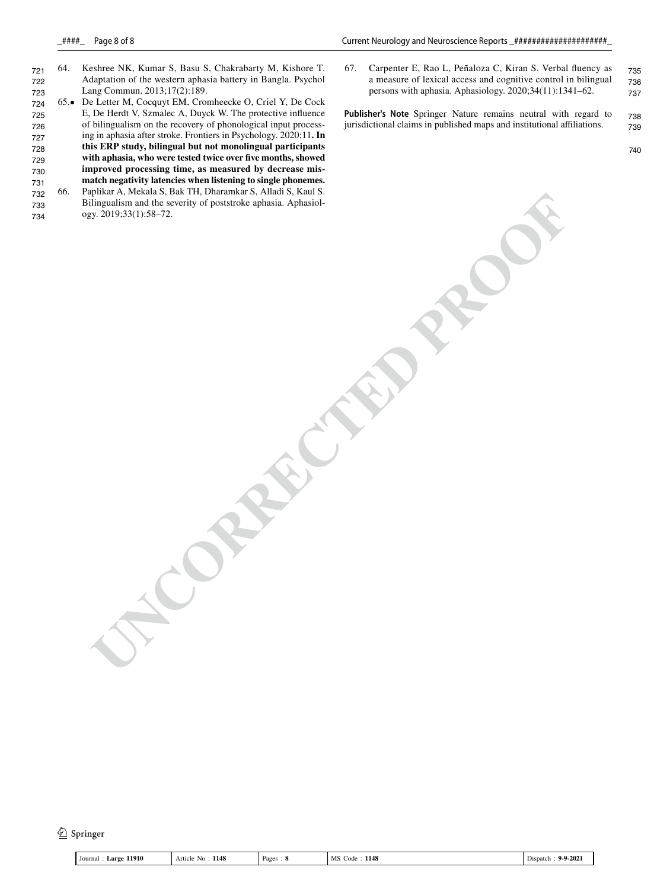- 64. Keshree NK, Kumar S, Basu S, Chakrabarty M, Kishore T. Adaptation of the western aphasia battery in Bangla. Psychol Lang Commun. 2013;17(2):189. 721 722 723
- 65.• De Letter M, Cocquyt EM, Cromheecke O, Criel Y, De Cock E, De Herdt V, Szmalec A, Duyck W. The protective influence of bilingualism on the recovery of phonological input processing in aphasia after stroke. Frontiers in Psychology. 2020;11**. In this ERP study, bilingual but not monolingual participants with aphasia, who were tested twice over five months, showed improved processing time, as measured by decrease mismatch negativity latencies when listening to single phonemes.** 724 725 726 727 728 729 730 731
- **UNCORRECTED PROOF** 66. Paplikar A, Mekala S, Bak TH, Dharamkar S, Alladi S, Kaul S. Bilingualism and the severity of poststroke aphasia. Aphasiology. 2019;33(1):58–72. 732 733 734

67. Carpenter E, Rao L, Peñaloza C, Kiran S. Verbal fluency as a measure of lexical access and cognitive control in bilingual persons with aphasia. Aphasiology. 2020;34(11):1341–62. 735 736 737

**Publisher's Note** Springer Nature remains neutral with regard to jurisdictional claims in published maps and institutional affiliations. 738 739

740

<sup>2</sup> Springer

| 11910<br>. arge<br>∣ Journal | 1148<br>Article<br>NO | Pages | 1148<br>MS<br>Code | $9 - 9 - 202$<br>ispatch |
|------------------------------|-----------------------|-------|--------------------|--------------------------|
|------------------------------|-----------------------|-------|--------------------|--------------------------|